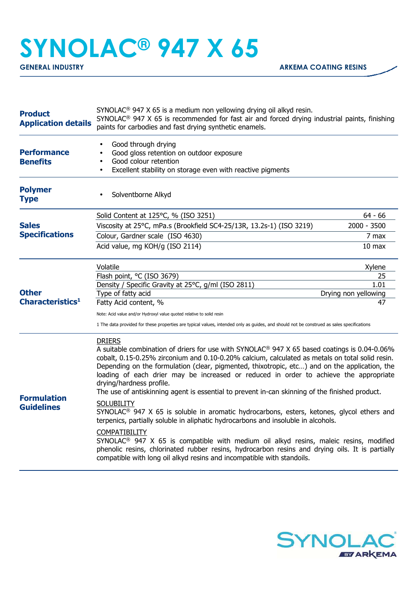## **SYNOLAC® 947 X 65**

| <b>Product</b><br><b>Application details</b> | SYNOLAC <sup>®</sup> 947 X 65 is a medium non yellowing drying oil alkyd resin.<br>SYNOLAC <sup>®</sup> 947 X 65 is recommended for fast air and forced drying industrial paints, finishing<br>paints for carbodies and fast drying synthetic enamels.                                                                                                                                                                                                                                                                                                                                                                                                                                                                                                                                                                                                                                                                                                                                                                                                         |                            |
|----------------------------------------------|----------------------------------------------------------------------------------------------------------------------------------------------------------------------------------------------------------------------------------------------------------------------------------------------------------------------------------------------------------------------------------------------------------------------------------------------------------------------------------------------------------------------------------------------------------------------------------------------------------------------------------------------------------------------------------------------------------------------------------------------------------------------------------------------------------------------------------------------------------------------------------------------------------------------------------------------------------------------------------------------------------------------------------------------------------------|----------------------------|
| <b>Performance</b><br><b>Benefits</b>        | Good through drying<br>Good gloss retention on outdoor exposure<br>$\bullet$<br>Good colour retention<br>$\bullet$<br>Excellent stability on storage even with reactive pigments<br>$\bullet$                                                                                                                                                                                                                                                                                                                                                                                                                                                                                                                                                                                                                                                                                                                                                                                                                                                                  |                            |
| <b>Polymer</b><br><b>Type</b>                | Solventborne Alkyd                                                                                                                                                                                                                                                                                                                                                                                                                                                                                                                                                                                                                                                                                                                                                                                                                                                                                                                                                                                                                                             |                            |
| <b>Sales</b><br><b>Specifications</b>        | Solid Content at 125°C, % (ISO 3251)                                                                                                                                                                                                                                                                                                                                                                                                                                                                                                                                                                                                                                                                                                                                                                                                                                                                                                                                                                                                                           | $64 - 66$                  |
|                                              | Viscosity at 25°C, mPa.s (Brookfield SC4-25/13R, 13.2s-1) (ISO 3219)                                                                                                                                                                                                                                                                                                                                                                                                                                                                                                                                                                                                                                                                                                                                                                                                                                                                                                                                                                                           | $2000 - 3500$              |
|                                              | Colour, Gardner scale (ISO 4630)                                                                                                                                                                                                                                                                                                                                                                                                                                                                                                                                                                                                                                                                                                                                                                                                                                                                                                                                                                                                                               | 7 max                      |
|                                              | Acid value, mg KOH/g (ISO 2114)                                                                                                                                                                                                                                                                                                                                                                                                                                                                                                                                                                                                                                                                                                                                                                                                                                                                                                                                                                                                                                | $10$ max                   |
|                                              | Volatile                                                                                                                                                                                                                                                                                                                                                                                                                                                                                                                                                                                                                                                                                                                                                                                                                                                                                                                                                                                                                                                       | Xylene                     |
|                                              | Flash point, °C (ISO 3679)                                                                                                                                                                                                                                                                                                                                                                                                                                                                                                                                                                                                                                                                                                                                                                                                                                                                                                                                                                                                                                     | 25                         |
| <b>Other</b><br>Characteristics <sup>1</sup> | Density / Specific Gravity at 25°C, g/ml (ISO 2811)                                                                                                                                                                                                                                                                                                                                                                                                                                                                                                                                                                                                                                                                                                                                                                                                                                                                                                                                                                                                            | 1.01                       |
|                                              | Type of fatty acid<br>Fatty Acid content, %                                                                                                                                                                                                                                                                                                                                                                                                                                                                                                                                                                                                                                                                                                                                                                                                                                                                                                                                                                                                                    | Drying non yellowing<br>47 |
|                                              |                                                                                                                                                                                                                                                                                                                                                                                                                                                                                                                                                                                                                                                                                                                                                                                                                                                                                                                                                                                                                                                                |                            |
|                                              | Note: Acid value and/or Hydroxyl value quoted relative to solid resin<br>1 The data provided for these properties are typical values, intended only as guides, and should not be construed as sales specifications                                                                                                                                                                                                                                                                                                                                                                                                                                                                                                                                                                                                                                                                                                                                                                                                                                             |                            |
| <b>Formulation</b><br><b>Guidelines</b>      | <b>DRIERS</b><br>A suitable combination of driers for use with SYNOLAC® 947 X 65 based coatings is 0.04-0.06%<br>cobalt, 0.15-0.25% zirconium and 0.10-0.20% calcium, calculated as metals on total solid resin.<br>Depending on the formulation (clear, pigmented, thixotropic, etc) and on the application, the<br>loading of each drier may be increased or reduced in order to achieve the appropriate<br>drying/hardness profile.<br>The use of antiskinning agent is essential to prevent in-can skinning of the finished product.<br><b>SOLUBILITY</b><br>SYNOLAC <sup>®</sup> 947 X 65 is soluble in aromatic hydrocarbons, esters, ketones, glycol ethers and<br>terpenics, partially soluble in aliphatic hydrocarbons and insoluble in alcohols.<br>COMPATIBILITY<br>SYNOLAC <sup>®</sup> 947 X 65 is compatible with medium oil alkyd resins, maleic resins, modified<br>phenolic resins, chlorinated rubber resins, hydrocarbon resins and drying oils. It is partially<br>compatible with long oil alkyd resins and incompatible with standoils. |                            |